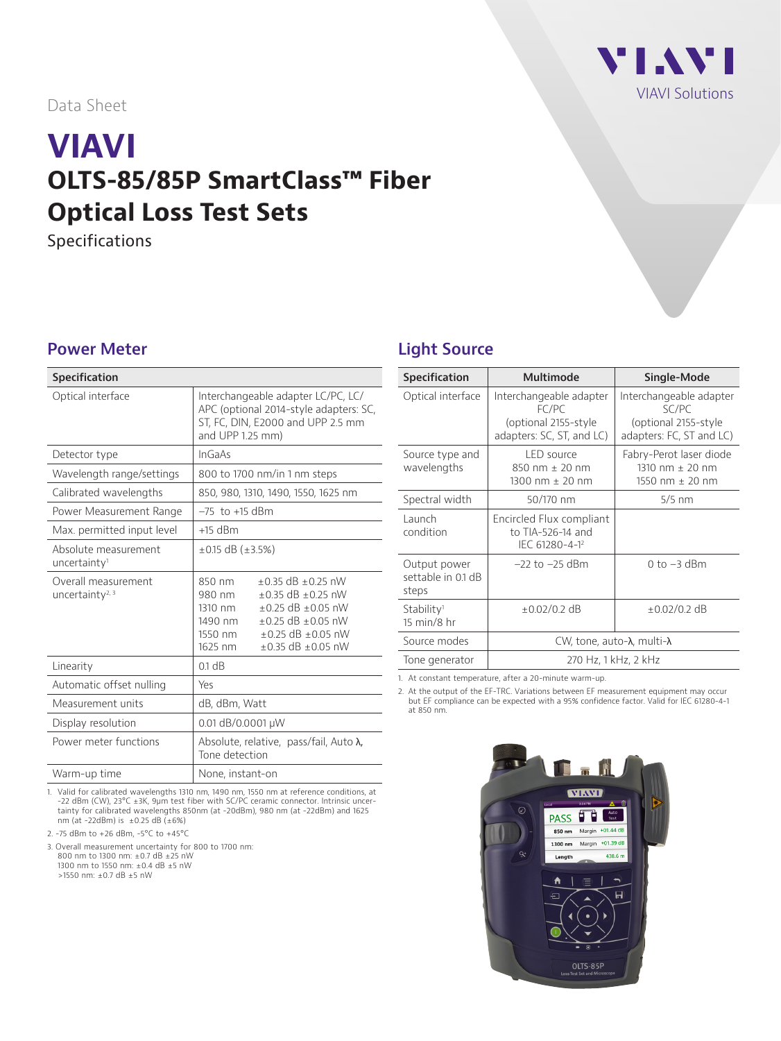VI.WI [VIAVI Solutions](http://www.viavisolutions.com)

Data Sheet

# **VIAVI OLTS-85/85P SmartClass™ Fiber Optical Loss Test Sets**

Specifications

#### **Power Meter**

| <b>Specification</b>                               |                                                                                                                                                                                                                                      |  |
|----------------------------------------------------|--------------------------------------------------------------------------------------------------------------------------------------------------------------------------------------------------------------------------------------|--|
| Optical interface                                  | Interchangeable adapter LC/PC, LC/<br>APC (optional 2014-style adapters: SC,<br>ST, FC, DIN, E2000 and UPP 2.5 mm<br>and UPP 1.25 mm)                                                                                                |  |
| Detector type                                      | InGaAs                                                                                                                                                                                                                               |  |
| Wavelength range/settings                          | 800 to 1700 nm/in 1 nm steps                                                                                                                                                                                                         |  |
| Calibrated wavelengths                             | 850, 980, 1310, 1490, 1550, 1625 nm                                                                                                                                                                                                  |  |
| Power Measurement Range                            | $-75$ to $+15$ dBm                                                                                                                                                                                                                   |  |
| Max. permitted input level                         | $+15$ dBm                                                                                                                                                                                                                            |  |
| Absolute measurement<br>uncertainty <sup>1</sup>   | $\pm$ 0.15 dB ( $\pm$ 3.5%)                                                                                                                                                                                                          |  |
| Overall measurement<br>uncertainty <sup>2, 3</sup> | $+0.35$ dB $+0.25$ nW<br>850 nm<br>$\pm 0.35$ dB $\pm 0.25$ nW<br>980 nm<br>1310 nm<br>$+0.25$ dB $+0.05$ nW<br>1490 nm<br>$\pm$ 0.25 dB $\pm$ 0.05 nW<br>$+0.25$ dB $+0.05$ nW<br>1550 nm<br>$\pm$ 0.35 dB $\pm$ 0.05 nW<br>1625 nm |  |
| Linearity                                          | 0.1 dB                                                                                                                                                                                                                               |  |
| Automatic offset nulling                           | Yes                                                                                                                                                                                                                                  |  |
| Measurement units                                  | dB, dBm, Watt                                                                                                                                                                                                                        |  |
| Display resolution                                 | 0.01 dB/0.0001 µW                                                                                                                                                                                                                    |  |
| Power meter functions                              | Absolute, relative, pass/fail, Auto $\lambda$ ,<br>Tone detection                                                                                                                                                                    |  |
| Warm-up time                                       | None, instant-on                                                                                                                                                                                                                     |  |

1. Valid for calibrated wavelengths 1310 nm, 1490 nm, 1550 nm at reference conditions, at -22 dBm (CW), 23°C ±3K, 9µm test fiber with SC/PC ceramic connector. Intrinsic uncertainty for calibrated wavelengths 850nm (at -20dBm), 980 nm (at -22dBm) and 1625 nm (at -22dBm) is ±0.25 dB (±6%)

2. -75 dBm to +26 dBm, -5°C to +45°C

3. Overall measurement uncertainty for 800 to 1700 nm: 800 nm to 1300 nm: ±0.7 dB ±25 nW 1300 nm to 1550 nm: ±0.4 dB ±5 nW >1550 nm: ±0.7 dB ±5 nW

#### **Light Source**

| Multimode                                                                             | Single-Mode                                                                          |  |
|---------------------------------------------------------------------------------------|--------------------------------------------------------------------------------------|--|
| Interchangeable adapter<br>FC/PC<br>(optional 2155-style<br>adapters: SC, ST, and LC) | Interchangeable adapter<br>SC/PC<br>(optional 2155-style<br>adapters: FC, ST and LC) |  |
| LED source<br>850 nm $\pm$ 20 nm<br>1300 nm $\pm$ 20 nm                               | Fabry-Perot laser diode<br>1310 nm $\pm$ 20 nm<br>1550 nm $\pm$ 20 nm                |  |
| 50/170 nm                                                                             | $5/5$ nm                                                                             |  |
| Encircled Flux compliant<br>to $TIA-526-14$ and<br>IEC 61280-4-12                     |                                                                                      |  |
| $-22$ to $-25$ dBm                                                                    | $0$ to $-3$ dBm                                                                      |  |
| $\pm 0.02/0.2$ dB                                                                     | $\pm 0.02/0.2$ dB                                                                    |  |
| CW, tone, auto- $\lambda$ , multi- $\lambda$                                          |                                                                                      |  |
| 270 Hz, 1 kHz, 2 kHz                                                                  |                                                                                      |  |
|                                                                                       |                                                                                      |  |

1. At constant temperature, after a 20-minute warm-up.

2. At the output of the EF-TRC. Variations between EF measurement equipment may occur but EF compliance can be expected with a 95% confidence factor. Valid for IEC 61280-4-1 at 850 nm.